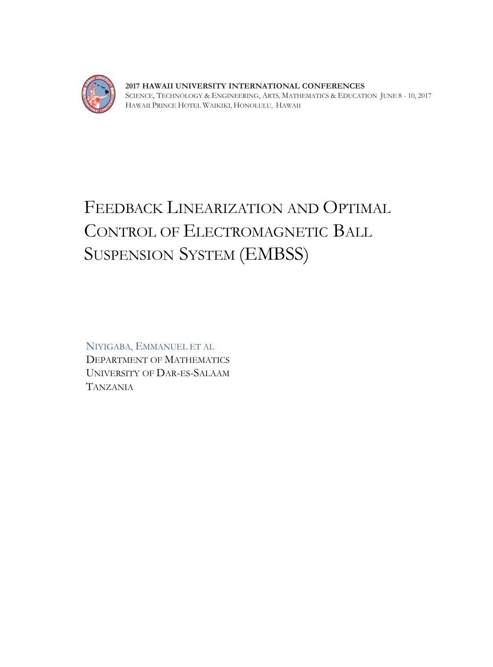

**2017 HAWAII UNIVERSITY INTERNATIONAL CONFERENCES**  SCIENCE, TECHNOLOGY & ENGINEERING, ARTS, MATHEMATICS & EDUCATION JUNE 8 - 10, 2017 HAWAII PRINCE HOTEL WAIKIKI, HONOLULU, HAWAII

# FEEDBACK LINEARIZATION AND OPTIMAL CONTROL OF ELECTROMAGNETIC BALL SUSPENSION SYSTEM (EMBSS)

NIYIGABA, EMMANUEL ET AL DEPARTMENT OF MATHEMATICS UNIVERSITY OF DAR-ES-SALAAM TANZANIA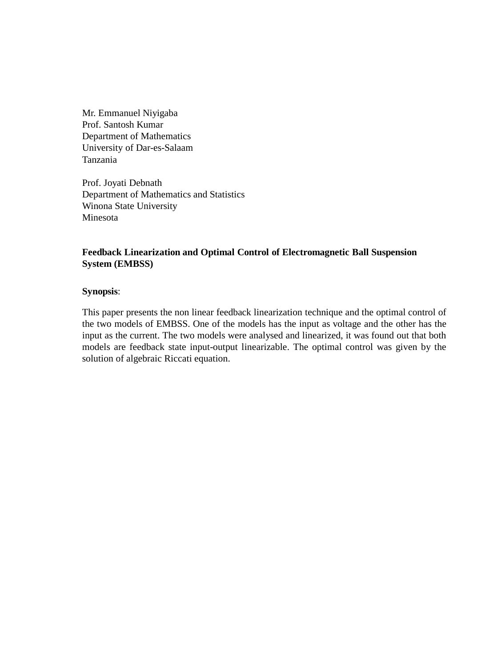Mr. Emmanuel Niyigaba Prof. Santosh Kumar Department of Mathematics University of Dar-es-Salaam Tanzania

Prof. Joyati Debnath Department of Mathematics and Statistics Winona State University Minesota

# **Feedback Linearization and Optimal Control of Electromagnetic Ball Suspension System (EMBSS)**

# **Synopsis**:

This paper presents the non linear feedback linearization technique and the optimal control of the two models of EMBSS. One of the models has the input as voltage and the other has the input as the current. The two models were analysed and linearized, it was found out that both models are feedback state input-output linearizable. The optimal control was given by the solution of algebraic Riccati equation.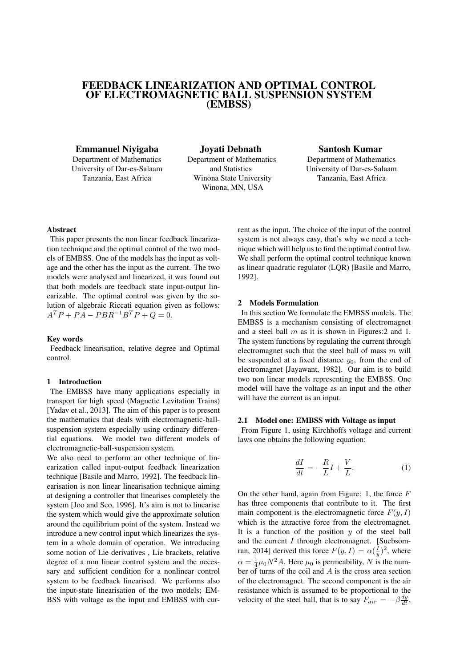# FEEDBACK LINEARIZATION AND OPTIMAL CONTROL OF ELECTROMAGNETIC BALL SUSPENSION SYSTEM (EMBSS)

# Emmanuel Niyigaba

Department of Mathematics University of Dar-es-Salaam Tanzania, East Africa

Joyati Debnath Department of Mathematics and Statistics Winona State University Winona, MN, USA

# Santosh Kumar

Department of Mathematics University of Dar-es-Salaam Tanzania, East Africa

# Abstract

This paper presents the non linear feedback linearization technique and the optimal control of the two models of EMBSS. One of the models has the input as voltage and the other has the input as the current. The two models were analysed and linearized, it was found out that both models are feedback state input-output linearizable. The optimal control was given by the solution of algebraic Riccati equation given as follows:  $A^T P + P A - P B R^{-1} B^T P + Q = 0.$ 

## Key words

Feedback linearisation, relative degree and Optimal control.

## 1 Introduction

The EMBSS have many applications especially in transport for high speed (Magnetic Levitation Trains) [Yadav et al., 2013]. The aim of this paper is to present the mathematics that deals with electromagnetic-ballsuspension system especially using ordinary differential equations. We model two different models of electromagnetic-ball-suspension system.

We also need to perform an other technique of linearization called input-output feedback linearization technique [Basile and Marro, 1992]. The feedback linearisation is non linear linearisation technique aiming at designing a controller that linearises completely the system [Joo and Seo, 1996]. It's aim is not to linearise the system which would give the approximate solution around the equilibrium point of the system. Instead we introduce a new control input which linearizes the system in a whole domain of operation. We introducing some notion of Lie derivatives , Lie brackets, relative degree of a non linear control system and the necessary and sufficient condition for a nonlinear control system to be feedback linearised. We performs also the input-state linearisation of the two models; EM-BSS with voltage as the input and EMBSS with current as the input. The choice of the input of the control system is not always easy, that's why we need a technique which will help us to find the optimal control law. We shall perform the optimal control technique known as linear quadratic regulator (LQR) [Basile and Marro, 1992].

#### 2 Models Formulation

In this section We formulate the EMBSS models. The EMBSS is a mechanism consisting of electromagnet and a steel ball  $m$  as it is shown in Figures: 2 and 1. The system functions by regulating the current through electromagnet such that the steel ball of mass  $m$  will be suspended at a fixed distance  $y_0$ , from the end of electromagnet [Jayawant, 1982]. Our aim is to build two non linear models representing the EMBSS. One model will have the voltage as an input and the other will have the current as an input.

#### 2.1 Model one: EMBSS with Voltage as input

From Figure 1, using Kirchhoffs voltage and current laws one obtains the following equation:

$$
\frac{dI}{dt} = -\frac{R}{L}I + \frac{V}{L}.\tag{1}
$$

On the other hand, again from Figure: 1, the force  $F$ has three components that contribute to it. The first main component is the electromagnetic force  $F(y, I)$ which is the attractive force from the electromagnet. It is a function of the position  $y$  of the steel ball and the current I through electromagnet. [Suebsomran, 2014] derived this force  $F(y, I) = \alpha(\frac{I}{y})^2$ , where  $\alpha = \frac{1}{4}\mu_0 N^2 A$ . Here  $\mu_0$  is permeability, N is the number of turns of the coil and A is the cross area section of the electromagnet. The second component is the air resistance which is assumed to be proportional to the velocity of the steel ball, that is to say  $F_{air} = -\beta \frac{dy}{dt}$ ,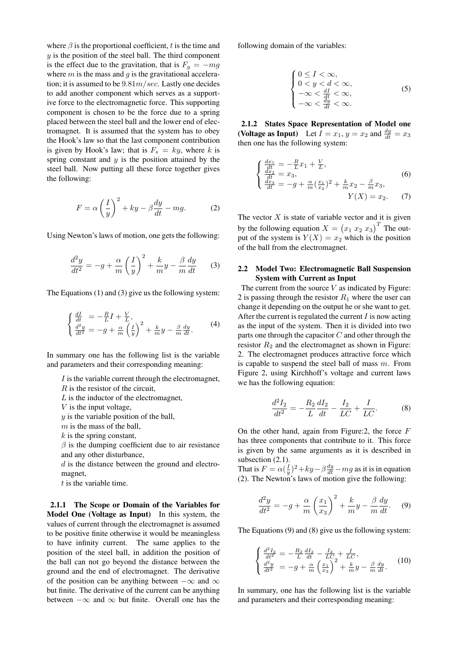where  $\beta$  is the proportional coefficient, t is the time and  $y$  is the position of the steel ball. The third component is the effect due to the gravitation, that is  $F_q = -mg$ where  $m$  is the mass and  $q$  is the gravitational acceleration; it is assumed to be  $9.81m/sec$ . Lastly one decides to add another component which serves as a supportive force to the electromagnetic force. This supporting component is chosen to be the force due to a spring placed between the steel ball and the lower end of electromagnet. It is assumed that the system has to obey the Hook's law so that the last component contribution is given by Hook's law; that is  $F_s = ky$ , where k is spring constant and  $y$  is the position attained by the steel ball. Now putting all these force together gives the following:

$$
F = \alpha \left(\frac{I}{y}\right)^2 + ky - \beta \frac{dy}{dt} - mg.
$$
 (2)

Using Newton's laws of motion, one gets the following:

$$
\frac{d^2y}{dt^2} = -g + \frac{\alpha}{m} \left(\frac{I}{y}\right)^2 + \frac{k}{m}y - \frac{\beta}{m}\frac{dy}{dt} \tag{3}
$$

The Equations (1) and (3) give us the following system:

$$
\begin{cases}\n\frac{dI}{dt} = -\frac{R}{L}I + \frac{V}{L},\\
\frac{d^2y}{dt^2} = -g + \frac{\alpha}{m} \left(\frac{I}{y}\right)^2 + \frac{k}{m}y - \frac{\beta}{m}\frac{dy}{dt}.\n\end{cases} \tag{4}
$$

In summary one has the following list is the variable and parameters and their corresponding meaning:

 $I$  is the variable current through the electromagnet,

 $R$  is the resistor of the circuit,

 $L$  is the inductor of the electromagnet,

 $V$  is the input voltage,

 $y$  is the variable position of the ball,

 $m$  is the mass of the ball,

 $k$  is the spring constant,

 $\beta$  is the dumping coefficient due to air resistance and any other disturbance,

d is the distance between the ground and electromagnet,

 $t$  is the variable time.

2.1.1 The Scope or Domain of the Variables for Model One (Voltage as Input) In this system, the values of current through the electromagnet is assumed to be positive finite otherwise it would be meaningless to have infinity current. The same applies to the position of the steel ball, in addition the position of the ball can not go beyond the distance between the ground and the end of electromagnet. The derivative of the position can be anything between  $-\infty$  and  $\infty$ but finite. The derivative of the current can be anything between  $-\infty$  and  $\infty$  but finite. Overall one has the following domain of the variables:

$$
\begin{cases}\n0 \le I < \infty, \\
0 < y < d < \infty, \\
-\infty < \frac{dI}{dt} < \infty, \\
-\infty < \frac{dy}{dt} < \infty.\n\end{cases} \tag{5}
$$

2.1.2 States Space Representation of Model one (Voltage as Input) Let  $I = x_1, y = x_2$  and  $\frac{dy}{dt} = x_3$ then one has the following system:

$$
\begin{cases}\n\frac{dx_1}{dt} = -\frac{R}{L}x_1 + \frac{V}{L},\\ \n\frac{dx_2}{dt} = x_3,\\
\frac{dx_3}{dt} = -g + \frac{\alpha}{m}(\frac{x_1}{x_2})^2 + \frac{k}{m}x_2 - \frac{\beta}{m}x_3,\\
Y(X) = x_2. \n\end{cases}
$$
\n(6)

The vector  $X$  is state of variable vector and it is given by the following equation  $X = (x_1 \ x_2 \ x_3)^T$  The output of the system is  $Y(X) = x_2$  which is the position of the ball from the electromagnet.

# 2.2 Model Two: Electromagnetic Ball Suspension System with Current as Input

The current from the source  $V$  as indicated by Figure: 2 is passing through the resistor  $R_1$  where the user can change it depending on the output he or she want to get. After the current is regulated the current  $I$  is now acting as the input of the system. Then it is divided into two parts one through the capacitor  $C$  and other through the resistor  $R_2$  and the electromagnet as shown in Figure: 2. The electromagnet produces attractive force which is capable to suspend the steel ball of mass  $m$ . From Figure 2, using Kirchhoff's voltage and current laws we has the following equation:

$$
\frac{d^2I_2}{dt^2} = -\frac{R_2}{L}\frac{dI_2}{dt} - \frac{I_2}{LC} + \frac{I}{LC}.
$$
 (8)

On the other hand, again from Figure: 2, the force  $F$ has three components that contribute to it. This force is given by the same arguments as it is described in subsection  $(2.1)$ .

That is  $F = \alpha(\frac{I}{y})^2 + ky - \beta \frac{dy}{dt} - mg$  as it is in equation (2). The Newton's laws of motion give the following:

$$
\frac{d^2y}{dt^2} = -g + \frac{\alpha}{m} \left(\frac{x_1}{x_3}\right)^2 + \frac{k}{m}y - \frac{\beta}{m}\frac{dy}{dt}.
$$
 (9)

The Equations (9) and (8) give us the following system:

$$
\begin{cases} \frac{d^2 I_2}{dt^2} = -\frac{R_2}{L} \frac{dI_2}{dt} - \frac{I_2}{LC_2} + \frac{I}{LC},\\ \frac{d^2 y}{dt^2} = -g + \frac{\alpha}{m} \left(\frac{x_1}{x_3}\right)^2 + \frac{k}{m} y - \frac{\beta}{m} \frac{dy}{dt}. \end{cases} (10)
$$

In summary, one has the following list is the variable and parameters and their corresponding meaning: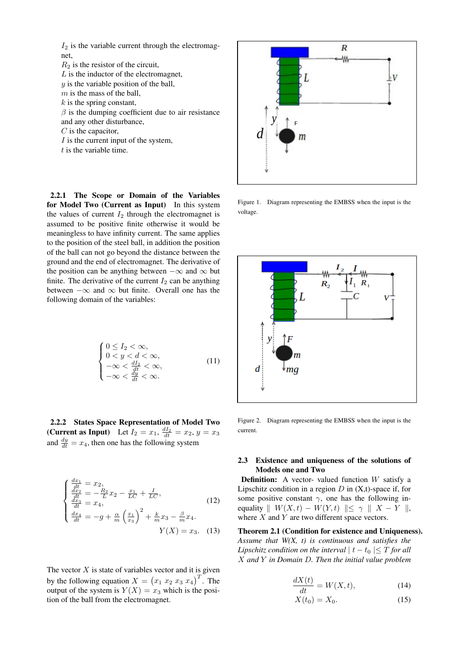

- $k$  is the spring constant,
- $\beta$  is the dumping coefficient due to air resistance
- and any other disturbance,
- $C$  is the capacitor,
- $I$  is the current input of the system,
- $t$  is the variable time.

2.2.1 The Scope or Domain of the Variables for Model Two (Current as Input) In this system the values of current  $I_2$  through the electromagnet is assumed to be positive finite otherwise it would be meaningless to have infinity current. The same applies to the position of the steel ball, in addition the position of the ball can not go beyond the distance between the ground and the end of electromagnet. The derivative of the position can be anything between  $-\infty$  and  $\infty$  but finite. The derivative of the current  $I_2$  can be anything between  $-\infty$  and  $\infty$  but finite. Overall one has the following domain of the variables:

$$
\begin{cases}\n0 \le I_2 < \infty, \\
0 < y < d < \infty, \\
-\infty < \frac{dI_2}{dt} < \infty, \\
-\infty < \frac{dy}{dt} < \infty.\n\end{cases} \tag{11}
$$

2.2.2 States Space Representation of Model Two (Current as Input) Let  $I_2 = x_1$ ,  $\frac{dI_2}{dt} = x_2$ ,  $y = x_3$ and  $\frac{dy}{dt} = x_4$ , then one has the following system

$$
\begin{cases}\n\frac{dx_1}{dt} = x_2, \\
\frac{dx_2}{dt} = -\frac{R_2}{L}x_2 - \frac{x_1}{LC} + \frac{I}{LC}, \\
\frac{dx_3}{dt} = x_4, \\
\frac{dx_4}{dt} = -g + \frac{\alpha}{m} \left(\frac{x_1}{x_3}\right)^2 + \frac{k}{m}x_3 - \frac{\beta}{m}x_4. \\
Y(X) = x_3. \quad (13)\n\end{cases}
$$

The vector  $X$  is state of variables vector and it is given by the following equation  $X = (x_1 \ x_2 \ x_3 \ x_4)^T$ . The output of the system is  $Y(X) = x_3$  which is the position of the ball from the electromagnet.



Figure 1. Diagram representing the EMBSS when the input is the voltage.



Figure 2. Diagram representing the EMBSS when the input is the current.

# 2.3 Existence and uniqueness of the solutions of Models one and Two

**Definition:** A vector- valued function  $W$  satisfy a Lipschitz condition in a region  $D$  in  $(X,t)$ -space if, for some positive constant  $\gamma$ , one has the following inequality  $\| W(X, t) - W(Y, t) \| \leq \gamma \| X - Y \|,$ where  $X$  and  $Y$  are two different space vectors.

Theorem 2.1 (Condition for existence and Uniqueness). *Assume that W(X, t) is continuous and satisfies the Lipschitz condition on the interval*  $|t - t_0| \leq T$  *for all* X *and* Y *in Domain* D*. Then the initial value problem*

 $\lambda$ 

$$
\frac{dX(t)}{dt} = W(X,t),\tag{14}
$$

$$
X(t_0) = X_0. \tag{15}
$$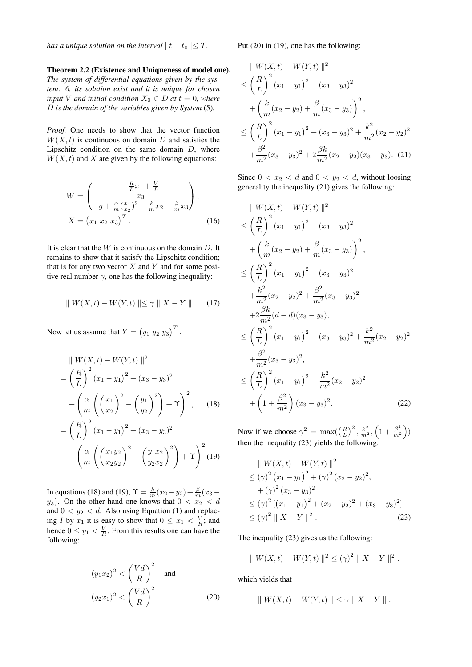*has a unique solution on the interval*  $|t - t_0| \leq T$ .

Theorem 2.2 (Existence and Uniqueness of model one). *The system of differential equations given by the system: 6, its solution exist and it is unique for chosen input V and initial condition*  $X_0 \in D$  *at*  $t = 0$ *, where* D *is the domain of the variables given by System* (5)*.*

*Proof.* One needs to show that the vector function  $W(X, t)$  is continuous on domain D and satisfies the Lipschitz condition on the same domain  $D$ , where  $W(X, t)$  and X are given by the following equations:

$$
W = \begin{pmatrix} -\frac{R}{L}x_1 + \frac{V}{L} \\ x_3 \\ -g + \frac{\alpha}{m}(\frac{x_1}{x_2})^2 + \frac{k}{m}x_2 - \frac{\beta}{m}x_3 \end{pmatrix},
$$
  

$$
X = (x_1 \ x_2 \ x_3)^T.
$$
 (16)

It is clear that the  $W$  is continuous on the domain  $D$ . It remains to show that it satisfy the Lipschitz condition; that is for any two vector  $X$  and  $Y$  and for some positive real number  $\gamma$ , one has the following inequality:

$$
\|W(X,t) - W(Y,t)\| \le \gamma \|X - Y\|.
$$
 (17)

Now let us assume that  $Y = (y_1 \ y_2 \ y_3)^T$ .

$$
\| W(X,t) - W(Y,t) \|^2
$$
  
=  $\left(\frac{R}{L}\right)^2 (x_1 - y_1)^2 + (x_3 - y_3)^2$   
+  $\left(\frac{\alpha}{m} \left(\left(\frac{x_1}{x_2}\right)^2 - \left(\frac{y_1}{y_2}\right)^2\right) + \Upsilon\right)^2$ , (18)  
=  $\left(\frac{R}{L}\right)^2 (x_1 - y_1)^2 + (x_3 - y_3)^2$   
+  $\left(\frac{\alpha}{m} \left(\left(\frac{x_1 y_2}{x_2 y_2}\right)^2 - \left(\frac{y_1 x_2}{y_2 x_2}\right)^2\right) + \Upsilon\right)^2$  (19)

In equations (18) and (19),  $\Upsilon = \frac{k}{m}(x_2 - y_2) + \frac{\beta}{m}(x_3$  $y_3$ ). On the other hand one knows that  $0 < x_2 < d$ and  $0 < y_2 < d$ . Also using Equation (1) and replacing I by  $x_1$  it is easy to show that  $0 \le x_1 < \frac{V}{R}$ ; and hence  $0 \le y_1 < \frac{V}{R}$ . From this results one can have the following:

$$
(y_1x_2)^2 < \left(\frac{Vd}{R}\right)^2 \quad \text{and}
$$

$$
(y_2x_1)^2 < \left(\frac{Vd}{R}\right)^2.
$$
 (20)

Put (20) in (19), one has the following:

$$
\| W(X,t) - W(Y,t) \|^2
$$
  
\n
$$
\leq \left(\frac{R}{L}\right)^2 (x_1 - y_1)^2 + (x_3 - y_3)^2
$$
  
\n
$$
+ \left(\frac{k}{m}(x_2 - y_2) + \frac{\beta}{m}(x_3 - y_3)\right)^2,
$$
  
\n
$$
\leq \left(\frac{R}{L}\right)^2 (x_1 - y_1)^2 + (x_3 - y_3)^2 + \frac{k^2}{m^2}(x_2 - y_2)^2
$$
  
\n
$$
+ \frac{\beta^2}{m^2}(x_3 - y_3)^2 + 2\frac{\beta k}{m^2}(x_2 - y_2)(x_3 - y_3).
$$
 (21)

Since  $0 < x_2 < d$  and  $0 < y_2 < d$ , without loosing generality the inequality (21) gives the following:

$$
\|W(X,t) - W(Y,t)\|^2
$$
\n
$$
\leq \left(\frac{R}{L}\right)^2 (x_1 - y_1)^2 + (x_3 - y_3)^2
$$
\n
$$
+ \left(\frac{k}{m}(x_2 - y_2) + \frac{\beta}{m}(x_3 - y_3)\right)^2,
$$
\n
$$
\leq \left(\frac{R}{L}\right)^2 (x_1 - y_1)^2 + (x_3 - y_3)^2
$$
\n
$$
+ \frac{k^2}{m^2}(x_2 - y_2)^2 + \frac{\beta^2}{m^2}(x_3 - y_3)^2
$$
\n
$$
+ 2\frac{\beta k}{m^2}(d - d)(x_3 - y_3),
$$
\n
$$
\leq \left(\frac{R}{L}\right)^2 (x_1 - y_1)^2 + (x_3 - y_3)^2 + \frac{k^2}{m^2}(x_2 - y_2)^2
$$
\n
$$
+ \frac{\beta^2}{m^2}(x_3 - y_3)^2,
$$
\n
$$
\leq \left(\frac{R}{L}\right)^2 (x_1 - y_1)^2 + \frac{k^2}{m^2}(x_2 - y_2)^2
$$
\n
$$
+ \left(1 + \frac{\beta^2}{m^2}\right)(x_3 - y_3)^2.
$$
\n(22)

Now if we choose  $\gamma^2 = \max\left(\left(\frac{R}{L}\right)^2, \frac{k^2}{m^2}, \left(1 + \frac{\beta^2}{m^2}\right)\right)$  $\left(\frac{\beta^2}{m^2}\right)$ then the inequality  $(23)$  yields the following:

$$
\| W(X,t) - W(Y,t) \|^2
$$
  
\n
$$
\leq (\gamma)^2 (x_1 - y_1)^2 + (\gamma)^2 (x_2 - y_2)^2,
$$
  
\n
$$
+ (\gamma)^2 (x_3 - y_3)^2
$$
  
\n
$$
\leq (\gamma)^2 [(x_1 - y_1)^2 + (x_2 - y_2)^2 + (x_3 - y_3)^2]
$$
  
\n
$$
\leq (\gamma)^2 \| X - Y \|^2.
$$
 (23)

The inequality (23) gives us the following:

$$
\| W(X,t) - W(Y,t) \|^2 \le (\gamma)^2 \| X - Y \|^2.
$$

which yields that

$$
\|W(X,t) - W(Y,t)\| \leq \gamma \|X - Y\|.
$$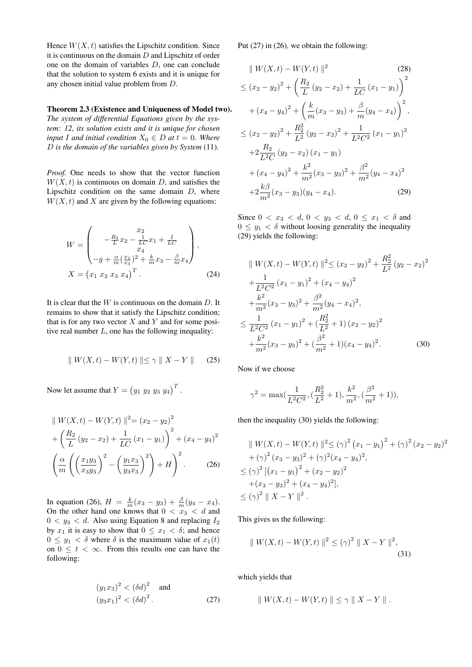Hence  $W(X, t)$  satisfies the Lipschitz condition. Since it is continuous on the domain  $D$  and Lipschitz of order one on the domain of variables D, one can conclude that the solution to system 6 exists and it is unique for any chosen initial value problem from D.

#### Theorem 2.3 (Existence and Uniqueness of Model two).

*The system of differential Equations given by the system: 12, its solution exists and it is unique for chosen input I* and *initial condition*  $X_0 \in D$  *at*  $t = 0$ *. Where* D *is the domain of the variables given by System* (11)*.*

*Proof.* One needs to show that the vector function  $W(X, t)$  is continuous on domain D, and satisfies the Lipschitz condition on the same domain  $D$ , where  $W(X, t)$  and X are given by the following equations:

$$
W = \begin{pmatrix} x_2 \\ -\frac{R_2}{L}x_2 - \frac{1}{LC}x_1 + \frac{I}{LC} \\ x_4 \\ -g + \frac{\alpha}{m}(\frac{x_1}{x_3})^2 + \frac{k}{m}x_3 - \frac{\beta}{m}x_4 \end{pmatrix},
$$
  

$$
X = (x_1 \ x_2 \ x_3 \ x_4)^T.
$$
 (24)

It is clear that the  $W$  is continuous on the domain  $D$ . It remains to show that it satisfy the Lipschitz condition; that is for any two vector  $X$  and  $Y$  and for some positive real number  $L$ , one has the following inequality:

$$
\| W(X,t) - W(Y,t) \| \le \gamma \| X - Y \| \qquad (25)
$$

Now let assume that  $Y = (y_1 \ y_2 \ y_3 \ y_4)^T$ .

$$
\| W(X,t) - W(Y,t) \|^2 = (x_2 - y_2)^2
$$
  
+  $\left( \frac{R_2}{L} (y_2 - x_2) + \frac{1}{LC} (x_1 - y_1) \right)^2 + (x_4 - y_4)^2$   
 $\left( \frac{\alpha}{m} \left( \left( \frac{x_1 y_3}{x_3 y_3} \right)^2 - \left( \frac{y_1 x_3}{y_3 x_3} \right)^2 \right) + H \right)^2.$  (26)

In equation (26),  $H = \frac{k}{m}(x_3 - y_3) + \frac{\beta}{m}(y_4 - x_4)$ . On the other hand one knows that  $0 < x_3 < d$  and  $0 < y_3 < d$ . Also using Equation 8 and replacing  $I_2$ by  $x_1$  it is easy to show that  $0 \le x_1 < \delta$ ; and hence  $0 \leq y_1 < \delta$  where  $\delta$  is the maximum value of  $x_1(t)$ on  $0 \leq t < \infty$ . From this results one can have the following:

$$
(y_1x_3)^2 < (\delta d)^2
$$
 and  
\n $(y_3x_1)^2 < (\delta d)^2$ . (27)

Put (27) in (26), we obtain the following:

$$
\| W(X,t) - W(Y,t) \|^2 \qquad (28)
$$
  
\n
$$
\leq (x_2 - y_2)^2 + \left( \frac{R_2}{L} (y_2 - x_2) + \frac{1}{LC} (x_1 - y_1) \right)^2
$$
  
\n
$$
+ (x_4 - y_4)^2 + \left( \frac{k}{m} (x_3 - y_3) + \frac{\beta}{m} (y_4 - x_4) \right)^2,
$$
  
\n
$$
\leq (x_2 - y_2)^2 + \frac{R_2^2}{L^2} (y_2 - x_2)^2 + \frac{1}{L^2 C^2} (x_1 - y_1)^2
$$
  
\n
$$
+ 2\frac{R_2}{L^2 C} (y_2 - x_2) (x_1 - y_1)
$$
  
\n
$$
+ (x_4 - y_4)^2 + \frac{k^2}{m^2} (x_3 - y_3)^2 + \frac{\beta^2}{m^2} (y_4 - x_4)^2
$$
  
\n
$$
+ 2\frac{k\beta}{m^2} (x_3 - y_3) (y_4 - x_4).
$$
 (29)

Since  $0 < x_3 < d$ ,  $0 < y_3 < d$ ,  $0 \le x_1 < \delta$  and  $0 \leq y_1 < \delta$  without loosing generality the inequality (29) yields the following:

$$
\| W(X,t) - W(Y,t) \|^2 \le (x_2 - y_2)^2 + \frac{R_2^2}{L^2} (y_2 - x_2)^2
$$
  
+ 
$$
\frac{1}{L^2 C^2} (x_1 - y_1)^2 + (x_4 - y_4)^2
$$
  
+ 
$$
\frac{k^2}{m^2} (x_3 - y_3)^2 + \frac{\beta^2}{m^2} (y_4 - x_4)^2,
$$
  

$$
\le \frac{1}{L^2 C^2} (x_1 - y_1)^2 + (\frac{R_2^2}{L^2} + 1) (x_2 - y_2)^2
$$
  
+ 
$$
\frac{k^2}{m^2} (x_3 - y_3)^2 + (\frac{\beta^2}{m^2} + 1) (x_4 - y_4)^2.
$$
 (30)

Now if we choose

$$
\gamma^2 = \max(\frac{1}{L^2C^2}, \left(\frac{R_2^2}{L^2} + 1\right), \frac{k^2}{m^2}, \left(\frac{\beta^2}{m^2} + 1\right)),
$$

then the inequality (30) yields the following:

$$
\| W(X,t) - W(Y,t) \|^2 \leq (\gamma)^2 (x_1 - y_1)^2 + (\gamma)^2 (x_2 - y_2)^2
$$
  
+  $(\gamma)^2 (x_3 - y_3)^2 + (\gamma)^2 (x_4 - y_4)^2$ ,  
 $\leq (\gamma)^2 [(x_1 - y_1)^2 + (x_2 - y_2)^2$   
+  $(x_3 - y_3)^2 + (x_4 - y_4)^2$ ],  
 $\leq (\gamma)^2 \| X - Y \|^2$ .

This gives us the following:

$$
\| W(X,t) - W(Y,t) \|^2 \le (\gamma)^2 \| X - Y \|^2,
$$
\n(31)

which yields that

$$
\|W(X,t) - W(Y,t)\| \leq \gamma \|X - Y\|.
$$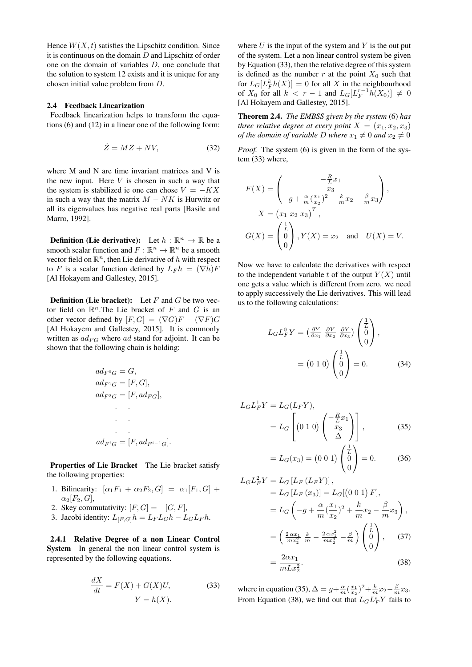Hence  $W(X, t)$  satisfies the Lipschitz condition. Since it is continuous on the domain  $D$  and Lipschitz of order one on the domain of variables D, one conclude that the solution to system 12 exists and it is unique for any chosen initial value problem from D.

#### 2.4 Feedback Linearization

Feedback linearization helps to transform the equations (6) and (12) in a linear one of the following form:

$$
\dot{Z} = MZ + NV,\tag{32}
$$

where M and N are time invariant matrices and V is the new input. Here  $V$  is chosen in such a way that the system is stabilized ie one can chose  $V = -KX$ in such a way that the matrix  $M - NK$  is Hurwitz or all its eigenvalues has negative real parts [Basile and Marro, 1992].

**Definition (Lie derivative):** Let  $h : \mathbb{R}^n \to \mathbb{R}$  be a smooth scalar function and  $F: \mathbb{R}^n \to \mathbb{R}^n$  be a smooth vector field on  $\mathbb{R}^n$ , then Lie derivative of h with respect to F is a scalar function defined by  $L_F h = (\nabla h)F$ [Al Hokayem and Gallestey, 2015].

**Definition (Lie bracket):** Let  $F$  and  $G$  be two vector field on  $\mathbb{R}^n$ . The Lie bracket of F and G is an other vector defined by  $[F, G] = (\nabla G)F - (\nabla F)G$ [Al Hokayem and Gallestey, 2015]. It is commonly written as  $ad_{FG}$  where ad stand for adjoint. It can be shown that the following chain is holding:

$$
ad_{F^{0}G} = G,
$$
  
\n
$$
ad_{F^{1}G} = [F, G],
$$
  
\n
$$
ad_{F^{2}G} = [F, ad_{FG}],
$$
  
\n
$$
ad_{F^{i}G} = [F, ad_{F^{i-1}G}].
$$

Properties of Lie Bracket The Lie bracket satisfy the following properties:

- 1. Bilinearity:  $[\alpha_1 F_1 + \alpha_2 F_2, G] = \alpha_1 [F_1, G] +$  $\alpha_2[F_2, G],$
- 2. Skey commutativity:  $[F, G] = -[G, F]$ ,
- 3. Jacobi identity:  $L_{[F,G]}h = L_F L_G h L_G L_F h$ .

2.4.1 Relative Degree of a non Linear Control System In general the non linear control system is represented by the following equations.

$$
\frac{dX}{dt} = F(X) + G(X)U,
$$
\n
$$
Y = h(X).
$$
\n(33)

where  $U$  is the input of the system and  $Y$  is the out put of the system. Let a non linear control system be given by Equation (33), then the relative degree of this system is defined as the number r at the point  $X_0$  such that for  $L_G[L_F^k h(X)] = 0$  for all X in the neighbourhood of  $X_0$  for all  $k < r - 1$  and  $L_G[L_F^{r-1}h(X_0)] \neq 0$ [Al Hokayem and Gallestey, 2015].

Theorem 2.4. *The EMBSS given by the system* (6) *has three relative degree at every point*  $X = (x_1, x_2, x_3)$ *of the domain of variable D where*  $x_1 \neq 0$  *and*  $x_2 \neq 0$ 

*Proof.* The system (6) is given in the form of the system (33) where,

$$
F(X) = \begin{pmatrix} -\frac{R}{L}x_1 \\ x_3 \\ -g + \frac{\alpha}{m}(\frac{x_1}{x_2})^2 + \frac{k}{m}x_2 - \frac{\beta}{m}x_3 \end{pmatrix},
$$
  
\n
$$
X = (x_1 \ x_2 \ x_3)^T,
$$
  
\n
$$
G(X) = \begin{pmatrix} \frac{1}{L} \\ 0 \\ 0 \end{pmatrix}, Y(X) = x_2 \text{ and } U(X) = V.
$$

Now we have to calculate the derivatives with respect to the independent variable t of the output  $Y(X)$  until one gets a value which is different from zero. we need to apply successively the Lie derivatives. This will lead us to the following calculations:

$$
L_G L_F^0 Y = \left(\frac{\partial Y}{\partial x_1} \frac{\partial Y}{\partial x_2} \frac{\partial Y}{\partial x_3}\right) \begin{pmatrix} \frac{1}{L} \\ 0 \\ 0 \end{pmatrix},
$$
  
=  $(0 \ 1 \ 0) \begin{pmatrix} \frac{1}{L} \\ 0 \\ 0 \end{pmatrix} = 0.$  (34)

$$
L_G L_F^1 Y = L_G(L_F Y),
$$
  
=  $L_G \left[ (0 \ 1 \ 0) \begin{pmatrix} -\frac{R}{L} x_1 \\ x_3 \\ \Delta \end{pmatrix} \right],$  (35)

$$
=L_G(x_3) = (0\ 0\ 1)\begin{pmatrix} L \\ 0 \\ 0 \end{pmatrix} = 0.
$$
 (36)

$$
L_{G}L_{F}^{2}Y = L_{G}[L_{F}(L_{F}Y)],
$$
  
\n
$$
= L_{G}[L_{F}(x_{3})] = L_{G}[(0\ 0\ 1)\ F],
$$
  
\n
$$
= L_{G}\left(-g + \frac{\alpha}{m}(\frac{x_{1}}{x_{2}})^{2} + \frac{k}{m}x_{2} - \frac{\beta}{m}x_{3}\right),
$$
  
\n
$$
= \left(\frac{2\alpha x_{1}}{mx_{2}^{2}} + \frac{k}{m} - \frac{2\alpha x_{1}^{2}}{mx_{2}^{3}} - \frac{\beta}{m}\right)\begin{pmatrix} \frac{1}{L} \\ 0 \\ 0 \end{pmatrix},
$$
 (37)  
\n
$$
= \frac{2\alpha x_{1}}{mLx_{2}^{2}}.
$$

where in equation (35),  $\Delta = g + \frac{\alpha}{m} (\frac{x_1}{x_2})^2 + \frac{k}{m} x_2 - \frac{\beta}{m} x_3$ . From Equation (38), we find out that  $L_G L_F^i Y$  fails to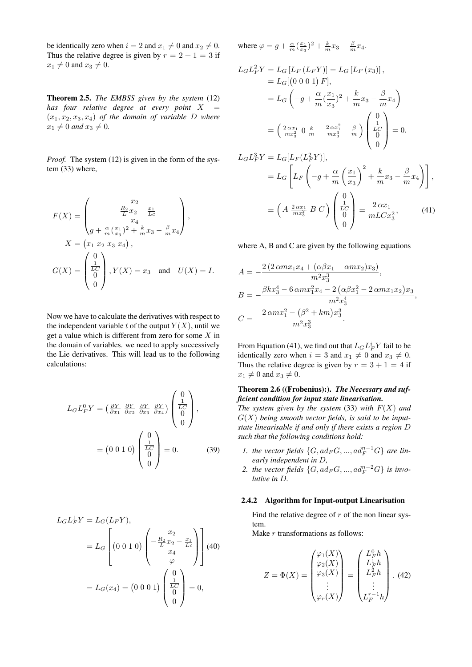be identically zero when  $i = 2$  and  $x_1 \neq 0$  and  $x_2 \neq 0$ . Thus the relative degree is given by  $r = 2 + 1 = 3$  if  $x_1 \neq 0$  and  $x_3 \neq 0$ .

Theorem 2.5. *The EMBSS given by the system* (12) *has four relative degree at every point* X =  $(x_1, x_2, x_3, x_4)$  *of the domain of variable D where*  $x_1 \neq 0$  *and*  $x_3 \neq 0$ *.* 

*Proof.* The system (12) is given in the form of the system (33) where,

$$
F(X) = \begin{pmatrix} x_2 \\ -\frac{R_2}{L}x_2 - \frac{x_1}{Lc} \\ x_4 \\ g + \frac{\alpha}{m}(\frac{x_1}{x_3})^2 + \frac{k}{m}x_3 - \frac{\beta}{m}x_4 \end{pmatrix},
$$
  
\n
$$
X = (x_1 \ x_2 \ x_3 \ x_4),
$$
  
\n
$$
G(X) = \begin{pmatrix} 0 \\ \frac{1}{LC} \\ 0 \end{pmatrix}, Y(X) = x_3 \text{ and } U(X) = I.
$$

Now we have to calculate the derivatives with respect to the independent variable t of the output  $Y(X)$ , until we get a value which is different from zero for some X in the domain of variables. we need to apply successively the Lie derivatives. This will lead us to the following calculations:

$$
L_G L_F^0 Y = \left(\frac{\partial Y}{\partial x_1} \frac{\partial Y}{\partial x_2} \frac{\partial Y}{\partial x_3} \frac{\partial Y}{\partial x_4}\right) \begin{pmatrix} 0 \\ \frac{1}{LC} \\ 0 \\ 0 \end{pmatrix},
$$
  
=  $(0 \ 0 \ 1 \ 0) \begin{pmatrix} 0 \\ \frac{1}{LC} \\ 0 \\ 0 \end{pmatrix} = 0.$  (39)

$$
L_G L_F^1 Y = L_G(L_F Y),
$$
  
=  $L_G \left[ (0 \ 0 \ 1 \ 0) \left( -\frac{R_2}{L} \frac{x_2}{x_2} - \frac{x_1}{L_c} \right) \right]$  (40)  
=  $L_G(x_4) = (0 \ 0 \ 0 \ 1) \left( \frac{1}{L_C} \right) = 0,$ 

where  $\varphi = g + \frac{\alpha}{m} (\frac{x_1}{x_3})^2 + \frac{k}{m} x_3 - \frac{\beta}{m} x_4$ .

$$
L_{G}L_{F}^{2}Y = L_{G}[L_{F}(L_{F}Y)] = L_{G}[L_{F}(x_{3})],
$$
  
\n
$$
= L_{G}[(0\ 0\ 0\ 1)\ F],
$$
  
\n
$$
= L_{G}\left(-g + \frac{\alpha}{m}(\frac{x_{1}}{x_{3}})^{2} + \frac{k}{m}x_{3} - \frac{\beta}{m}x_{4}\right)
$$
  
\n
$$
= \left(\frac{2\alpha x_{1}}{mx_{3}^{2}}\ 0\ \frac{k}{m} - \frac{2\alpha x_{1}^{2}}{mx_{3}^{3}} - \frac{\beta}{m}\right)\begin{pmatrix} 0\\ \frac{1}{LC} \\ 0 \end{pmatrix} = 0.
$$
  
\n
$$
L_{G}L_{F}^{3}Y = L_{G}[L_{F}(L_{F}^{2}Y)],
$$
  
\n
$$
= L_{G}\left[L_{F}\left(-g + \frac{\alpha}{m}(\frac{x_{1}}{x_{3}})^{2} + \frac{k}{m}x_{3} - \frac{\beta}{m}x_{4}\right)\right],
$$
  
\n
$$
= \left(A\ \frac{2\alpha x_{1}}{mx_{3}^{2}}\ B\ C\right)\begin{pmatrix} 0\\ \frac{1}{LC} \\ 0 \end{pmatrix} = \frac{2\alpha x_{1}}{mLCx_{3}^{2}},
$$
  
\n(41)

 $mLCx_3^2$ 

where A, B and C are given by the following equations

$$
A = -\frac{2(2 \alpha m x_1 x_4 + (\alpha \beta x_1 - \alpha m x_2) x_3)}{m^2 x_3^3},
$$
  
\n
$$
B = -\frac{\beta k x_3^4 - 6 \alpha m x_1^2 x_4 - 2(\alpha \beta x_1^2 - 2 \alpha m x_1 x_2) x_3}{m^2 x_3^4},
$$
  
\n
$$
C = -\frac{2 \alpha m x_1^2 - (\beta^2 + k m) x_3^3}{m^2 x_3^3}.
$$

From Equation (41), we find out that  $L_G L_F^i Y$  fail to be identically zero when  $i = 3$  and  $x_1 \neq 0$  and  $x_3 \neq 0$ . Thus the relative degree is given by  $r = 3 + 1 = 4$  if  $x_1 \neq 0$  and  $x_3 \neq 0$ .

# Theorem 2.6 ((Frobenius):). *The Necessary and sufficient condition for input state linearisation.*

*The system given by the system* (33) *with*  $F(X)$  *and* G(X) *being smooth vector fields, is said to be inputstate linearisable if and only if there exists a region* D *such that the following conditions hold:*

- *1. the vector fields*  $\{G, ad_F G, ..., ad_F^{n-1} G\}$  *are linearly independent in* D*,*
- 2. the vector fields  $\{G, ad_F G, ..., ad_F^{n-2} G\}$  is invo*lutive in* D*.*

## 2.4.2 Algorithm for Input-output Linearisation

Find the relative degree of  $r$  of the non linear system.

Make  $r$  transformations as follows:

$$
Z = \Phi(X) = \begin{pmatrix} \varphi_1(X) \\ \varphi_2(X) \\ \varphi_3(X) \\ \vdots \\ \varphi_r(X) \end{pmatrix} = \begin{pmatrix} L_F^0 h \\ L_F^1 h \\ L_F^2 h \\ \vdots \\ L_F^{r-1} h \end{pmatrix} . (42)
$$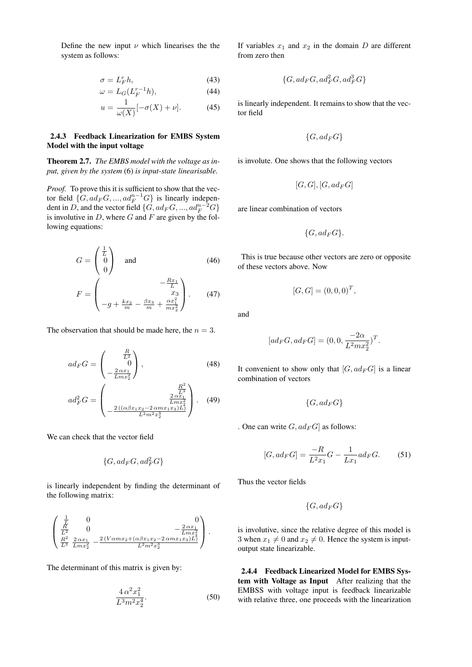Define the new input  $\nu$  which linearises the the system as follows:

$$
\sigma = L_F^r h,\tag{43}
$$

$$
\omega = L_G(L_F^{r-1}h),\tag{44}
$$

$$
u = \frac{1}{\omega(X)}[-\sigma(X) + \nu].\tag{45}
$$

# 2.4.3 Feedback Linearization for EMBS System Model with the input voltage

# Theorem 2.7. *The EMBS model with the voltage as input, given by the system* (6) *is input-state linearisable.*

*Proof.* To prove this it is sufficient to show that the vector field  $\{G, ad_F G, ..., ad_F^{n-1} G\}$  is linearly independent in D, and the vector field  $\{G, ad_F G, ..., ad_F^{n-2} G\}$ is involutive in  $D$ , where  $G$  and  $F$  are given by the following equations:

$$
G = \begin{pmatrix} \frac{1}{L} \\ 0 \\ 0 \end{pmatrix} \quad \text{and} \quad (46)
$$
\n
$$
F = \begin{pmatrix} -\frac{Rx_1}{L} \\ x_3 \\ -g + \frac{kx_2}{m} - \frac{\beta x_3}{m} + \frac{\alpha x_1^2}{mx_2^2} \end{pmatrix} . \quad (47)
$$

The observation that should be made here, the  $n = 3$ .

$$
ad_F G = \begin{pmatrix} \frac{R}{L^2} \\ 0 \\ -\frac{2 \alpha x_1}{L m x_2^2} \end{pmatrix},
$$
(48)  

$$
ad_F^2 G = \begin{pmatrix} \frac{R^2}{L^3} \\ \frac{2 \alpha x_1}{L m x_2^2} \\ -\frac{2 ((\alpha \beta x_1 x_2 - 2 \alpha m x_1 x_3)L)}{L^2 m^2 x_2^3} \end{pmatrix}.
$$
(49)

We can check that the vector field

$$
\{G, ad_F G, ad_F^2 G\}
$$

is linearly independent by finding the determinant of the following matrix:

$$
\begin{pmatrix}\n\frac{1}{L} & 0 & 0 \\
\frac{R}{L^2} & 0 & -\frac{2\alpha x_1}{Lm x_2^2} \\
\frac{R^2}{L^3} & \frac{2\alpha x_1}{Lm x_2^2} & -\frac{2\left(V\alpha m x_2 + (\alpha \beta x_1 x_2 - 2\alpha m x_1 x_3)L\right)}{L^2 m^2 x_2^3}\n\end{pmatrix}.
$$

The determinant of this matrix is given by:

$$
\frac{4\,\alpha^2 x_1^2}{L^3 m^2 x_2^4}.\tag{50}
$$

If variables  $x_1$  and  $x_2$  in the domain D are different from zero then

$$
\{G, ad_F G, ad_F^2 G, ad_F^3 G\}
$$

is linearly independent. It remains to show that the vector field

$$
\{G, ad_F G\}
$$

is involute. One shows that the following vectors

$$
[G,G],[G,ad_F G] \,
$$

are linear combination of vectors

$$
\{G, ad_F G\}.
$$

This is true because other vectors are zero or opposite of these vectors above. Now

$$
[G, G] = (0, 0, 0)^T,
$$

and

$$
[ad_F G, ad_F G] = (0, 0, \frac{-2\alpha}{L^2 m x_2^2})^T.
$$

It convenient to show only that  $[G, ad_F G]$  is a linear combination of vectors

 ${G, ad_F G}$ 

. One can write  $G$ ,  $ad_F G$  as follows:

$$
[G, ad_F G] = \frac{-R}{L^2 x_1} G - \frac{1}{L x_1} ad_F G.
$$
 (51)

Thus the vector fields

$$
\{G,ad_FG\}
$$

is involutive, since the relative degree of this model is 3 when  $x_1 \neq 0$  and  $x_2 \neq 0$ . Hence the system is inputoutput state linearizable.

2.4.4 Feedback Linearized Model for EMBS System with Voltage as Input After realizing that the EMBSS with voltage input is feedback linearizable with relative three, one proceeds with the linearization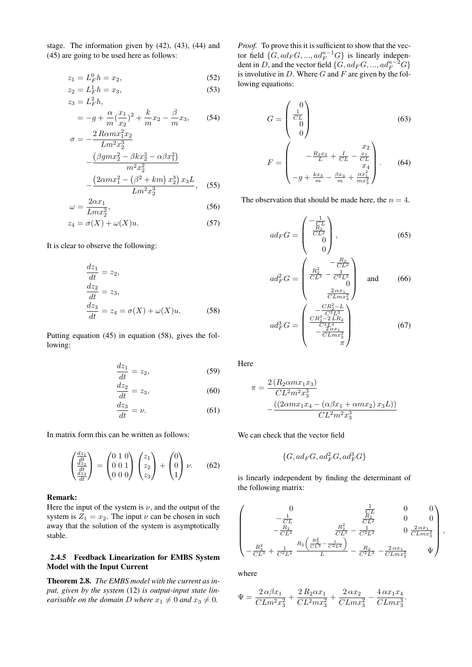stage. The information given by (42), (43), (44) and (45) are going to be used here as follows:

$$
z_1 = L_F^0 h = x_2, \t\t(52)
$$

$$
z_2 = L_F^1 h = x_3,\t\t(53)
$$

$$
z_3 = L_F^2 h,
$$
  
=  $-g + \frac{\alpha}{m} (\frac{x_1}{x_2})^2 + \frac{k}{m} x_2 - \frac{\beta}{m} x_3,$  (54)

$$
\sigma = -\frac{2\operatorname{R\alpha} m x_1^2 x_2}{\operatorname{L\alpha}^2 x_2^3} - \frac{\left(\beta \operatorname{g} m x_2^2 - \beta k x_2^3 - \alpha \beta x_1^2\right)}{m^2 x_2^2} - \frac{\left(2 \alpha m x_1^2 - \left(\beta^2 + k m\right) x_2^3\right) x_3 L}{\operatorname{L\alpha}^2 x_2^3}, \quad (55)
$$

$$
\omega = \frac{2\alpha x_1}{Lm x_2^2},\tag{56}
$$

$$
z_4 = \sigma(X) + \omega(X)u. \tag{57}
$$

It is clear to observe the following:

$$
\frac{dz_1}{dt} = z_2,\n\frac{dz_2}{dt} = z_3,\n\frac{dz_3}{dt} = z_4 = \sigma(X) + \omega(X)u.
$$
\n(58)

Putting equation (45) in equation (58), gives the following:

$$
\frac{dz_1}{dt} = z_2,\t\t(59)
$$

$$
\frac{dz_2}{dt} = z_3,\t\t(60)
$$

$$
\frac{dz_3}{dt} = \nu.
$$
 (61)

In matrix form this can be written as follows:

$$
\begin{pmatrix}\n\frac{dz_1}{dt} \\
\frac{dz_2}{dt} \\
\frac{dz_3}{dt}\n\end{pmatrix} = \begin{pmatrix}\n0 & 1 & 0 \\
0 & 0 & 1 \\
0 & 0 & 0\n\end{pmatrix} \begin{pmatrix}\nz_1 \\
z_2 \\
z_3\n\end{pmatrix} + \begin{pmatrix}\n0 \\
0 \\
1\n\end{pmatrix} \nu.
$$
\n(62)

#### Remark:

Here the input of the system is  $\nu$ , and the output of the system is  $Z_1 = x_2$ . The input  $\nu$  can be chosen in such away that the solution of the system is asymptotically stable.

# 2.4.5 Feedback Linearization for EMBS System Model with the Input Current

Theorem 2.8. *The EMBS model with the current as input, given by the system* (12) *is output-input state linearisable on the domain D where*  $x_1 \neq 0$  *and*  $x_3 \neq 0$ *.* 

*Proof.* To prove this it is sufficient to show that the vector field  $\{G, ad_F G, ..., ad_F^{n-1} G\}$  is linearly independent in D, and the vector field  $\{G, ad_F G, ..., ad_F^{n-2} G\}$ is involutive in  $D$ . Where  $G$  and  $F$  are given by the following equations:

$$
G = \begin{pmatrix} 0 \\ \frac{1}{CL} \\ 0 \\ 0 \end{pmatrix} \tag{63}
$$

$$
F = \begin{pmatrix} x_2 \\ -\frac{R_2 x_2}{L} + \frac{I}{CL} - \frac{x_1}{CL} \\ x_4 \\ -g + \frac{k x_3}{m} - \frac{\beta x_4}{m} + \frac{\alpha x_1^2}{m x_3^2} \end{pmatrix} .
$$
 (64)

The observation that should be made here, the  $n = 4$ .

$$
ad_F G = \begin{pmatrix} -\frac{1}{CL} \\ \frac{G_L}{CL^2} \\ 0 \end{pmatrix}, \tag{65}
$$

$$
ad_F^2 G = \begin{pmatrix} -\frac{R_2}{CL^2} \\ \frac{R_2^2}{CL^3} - \frac{1}{C^2 L^2} \\ 0 \\ \frac{2 \alpha x_1}{CL m x_3^2} \end{pmatrix} \text{ and } (66)
$$

$$
ad_F^3 G = \begin{pmatrix} -\frac{CR_2^2 - L}{C^2 L^3} \\ \frac{CR_2^3 - 2 LR_2}{C^2 L^4} \\ -\frac{2 \alpha x_1}{CL m x_3^2} \\ \pi \end{pmatrix}
$$
 (67)

Here

$$
\pi = \frac{2(R_2 \alpha m x_1 x_3)}{CL^2 m^2 x_3^3}
$$

$$
-\frac{((2\alpha m x_1 x_4 - (\alpha \beta x_1 + \alpha m x_2) x_3 L))}{CL^2 m^2 x_3^3}
$$

We can check that the vector field

$$
\{G, ad_F G, ad_F^2 G, ad_F^3 G\}
$$

is linearly independent by finding the determinant of the following matrix:

$$
\begin{pmatrix}\n0 & \frac{1}{C L} & 0 & 0 \\
-\frac{1}{C L} & \frac{R_2}{C L^2} & 0 & 0 \\
-\frac{R_2}{C L^2} & \frac{R_2^2}{C L^3} - \frac{1}{C^2 L^2} & 0 & \frac{2 \alpha x_1}{C L m x_3^2} \\
-\frac{R_2^2}{C L^3} + \frac{1}{C^2 L^2} & \frac{R_2 \left(\frac{R_2^2}{C L^3} - \frac{1}{C^2 L^2}\right)}{L} - \frac{R_2}{C^2 L^3} - \frac{2 \alpha x_1}{C L m x_3^2} & \Psi\n\end{pmatrix}
$$

,

where

$$
\Psi = \frac{2 \alpha \beta x_1}{CLm^2x_3^2} + \frac{2 \, R_2 \alpha x_1}{CL^2mx_3^2} + \frac{2 \, \alpha x_2}{CLmx_3^2} - \frac{4 \, \alpha x_1 x_4}{CLmx_3^3}.
$$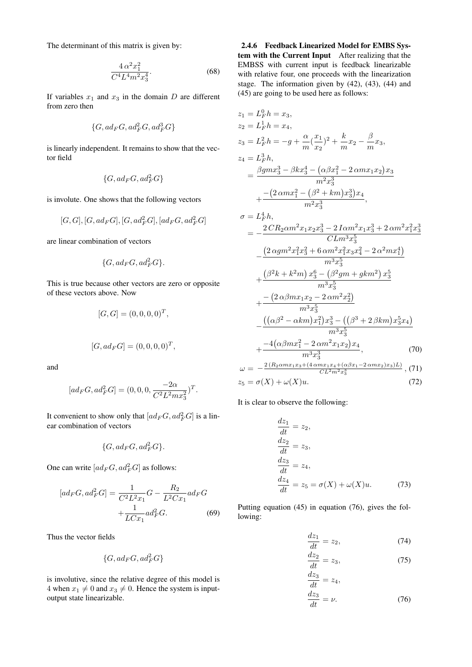The determinant of this matrix is given by:

$$
\frac{4\,\alpha^2 x_1^2}{C^4 L^4 m^2 x_3^4}.\tag{68}
$$

If variables  $x_1$  and  $x_3$  in the domain D are different from zero then

$$
\{G, ad_F G, ad_F^2 G, ad_F^3 G\}
$$

is linearly independent. It remains to show that the vector field

$$
\{G, ad_F G, ad_F^2 G\}
$$

is involute. One shows that the following vectors

$$
[G,G],[G,ad_F G],[G,ad_F^2 G],[ad_F G,ad_F^2 G]
$$

are linear combination of vectors

$$
\{G, ad_F G, ad_F^2 G\}.
$$

This is true because other vectors are zero or opposite of these vectors above. Now

$$
[G, G] = (0, 0, 0, 0)^T,
$$

$$
[G, ad_F G] = (0, 0, 0, 0)^T,
$$

and

$$
[ad_F G, ad_F^2 G] = (0, 0, 0, \frac{-2\alpha}{C^2 L^2 m x_3^2})^T.
$$

It convenient to show only that  $[ad_F G, ad_F^2 G]$  is a linear combination of vectors

$$
\{G, ad_F G, ad_F^2 G\}.
$$

One can write  $[ad_F G, ad_F^2 G]$  as follows:

$$
[ad_F G, ad_F^2 G] = \frac{1}{C^2 L^2 x_1} G - \frac{R_2}{L^2 C x_1} ad_F G
$$

$$
+ \frac{1}{LC x_1} ad_F^2 G.
$$
(69)

Thus the vector fields

$$
\{G, ad_F G, ad_F^2 G\}
$$

is involutive, since the relative degree of this model is 4 when  $x_1 \neq 0$  and  $x_3 \neq 0$ . Hence the system is inputoutput state linearizable.

2.4.6 Feedback Linearized Model for EMBS System with the Current Input After realizing that the EMBSS with current input is feedback linearizable with relative four, one proceeds with the linearization stage. The information given by (42), (43), (44) and (45) are going to be used here as follows:

$$
z_{1} = L_{F}^{0}h = x_{3},
$$
  
\n
$$
z_{2} = L_{F}^{1}h = x_{4},
$$
  
\n
$$
z_{3} = L_{F}^{2}h = -g + \frac{\alpha}{m}(\frac{x_{1}}{x_{2}})^{2} + \frac{k}{m}x_{2} - \frac{\beta}{m}x_{3},
$$
  
\n
$$
z_{4} = L_{F}^{3}h,
$$
  
\n
$$
= \frac{\beta g m x_{3}^{3} - \beta k x_{3}^{4} - (\alpha \beta x_{1}^{2} - 2 \alpha m x_{1} x_{2})x_{3}}{m^{2}x_{3}^{3}} + \frac{-(2 \alpha m x_{1}^{2} - (\beta^{2} + km)x_{3}^{3})x_{4}}{m^{2}x_{3}^{3}},
$$
  
\n
$$
\sigma = L_{F}^{4}h,
$$
  
\n
$$
= -\frac{2 C R_{2} \alpha m^{2} x_{1} x_{2} x_{3}^{3} - 2 I \alpha m^{2} x_{1} x_{3}^{3} + 2 \alpha m^{2} x_{1}^{2} x_{3}^{3}}{C L m^{3}x_{3}^{5}} - \frac{(2 \alpha g m^{2} x_{1}^{2} x_{3}^{2} + 6 \alpha m^{2} x_{1}^{2} x_{3} x_{4}^{2} - 2 \alpha^{2} m x_{1}^{4})}{m^{3}x_{3}^{5}} + \frac{(\beta^{2} k + k^{2} m) x_{3}^{6} - (\beta^{2} g m + g k m^{2}) x_{3}^{5}}{m^{3}x_{3}^{5}} - \frac{-(2 \alpha \beta m x_{1} x_{2} - 2 \alpha m^{2} x_{2}^{2})}{m^{3}x_{3}^{5}} - \frac{((\alpha \beta^{2} - \alpha k m)x_{1}^{2})x_{3}^{3} - ((\beta^{3} + 2 \beta k m)x_{3}^{5} x_{4})}{m^{3}x_{3}^{5}} + \frac{-4(\alpha \beta m x_{1}^{2} - 2 \alpha m^{2} x_{1} x_{2})x_{4}}{m^{3}x_{3}^{3}}, \quad (\text{70)}
$$
  
\n
$$
\omega = -\frac{2 (R_{2} \alpha m x_{1} x_{3} + (4 \alpha m x_{1} x_{4} + (\
$$

$$
\omega = -\frac{CL^2 m^2 x_3^3}{x_5 = \sigma(X) + \omega(X)u.}
$$
\n(72)

It is clear to observe the following:

$$
\frac{dz_1}{dt} = z_2,
$$
  
\n
$$
\frac{dz_2}{dt} = z_3,
$$
  
\n
$$
\frac{dz_3}{dt} = z_4,
$$
  
\n
$$
\frac{dz_4}{dt} = z_5 = \sigma(X) + \omega(X)u.
$$
 (73)

Putting equation (45) in equation (76), gives the following:

$$
\frac{dz_1}{dt} = z_2,\t\t(74)
$$

$$
\frac{dz_2}{dt} = z_3,\t(75)
$$

$$
\frac{d^{2}z_{3}}{dt} = z_{4},
$$
  
\n
$$
\frac{dz_{3}}{dt} = \nu.
$$
 (76)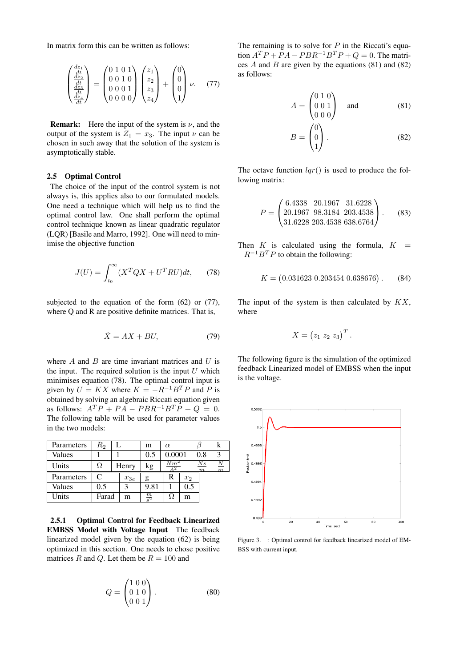In matrix form this can be written as follows:

$$
\begin{pmatrix} \frac{dz_1}{dt} \\ \frac{dz_2}{dt} \\ \frac{dz_3}{dt} \\ \frac{dz_4}{dt} \end{pmatrix} = \begin{pmatrix} 0 & 1 & 0 & 1 \\ 0 & 0 & 1 & 0 \\ 0 & 0 & 0 & 1 \\ 0 & 0 & 0 & 0 \end{pmatrix} \begin{pmatrix} z_1 \\ z_2 \\ z_3 \\ z_4 \end{pmatrix} + \begin{pmatrix} 0 \\ 0 \\ 0 \\ 1 \end{pmatrix} \nu. \quad (77)
$$

**Remark:** Here the input of the system is  $\nu$ , and the output of the system is  $Z_1 = x_3$ . The input  $\nu$  can be chosen in such away that the solution of the system is asymptotically stable.

# 2.5 Optimal Control

The choice of the input of the control system is not always is, this applies also to our formulated models. One need a technique which will help us to find the optimal control law. One shall perform the optimal control technique known as linear quadratic regulator (LQR) [Basile and Marro, 1992]. One will need to minimise the objective function

$$
J(U) = \int_{t_0}^{\infty} (X^T Q X + U^T R U) dt, \qquad (78)
$$

subjected to the equation of the form  $(62)$  or  $(77)$ , where Q and R are positive definite matrices. That is,

$$
\dot{X} = AX + BU,\t(79)
$$

where  $A$  and  $B$  are time invariant matrices and  $U$  is the input. The required solution is the input  $U$  which minimises equation (78). The optimal control input is given by  $U = KX$  where  $K = -R^{-1}B^{T}P$  and P is obtained by solving an algebraic Riccati equation given as follows:  $A^T P + P A - P B R^{-1} B^T P + Q = 0.$ The following table will be used for parameter values in the two models:

| Parameters | $R_{2}$ |          | m               | $\alpha$     |       |                         | к              |
|------------|---------|----------|-----------------|--------------|-------|-------------------------|----------------|
| Values     |         |          | 0.5             | 0.0001       |       | 0.8                     | 3              |
| Units      | Ω       | Henry    | kg              | $Nm^2$<br>42 |       | N s<br>$\boldsymbol{m}$ | $\overline{m}$ |
| Parameters | C       | $x_{3e}$ | g               | R            | $x_2$ |                         |                |
| Values     | 0.5     | 2        | 9.81            |              | 0.5   |                         |                |
| Units      | Farad   | m        | $\frac{m}{s^2}$ |              | m     |                         |                |

2.5.1 Optimal Control for Feedback Linearized EMBSS Model with Voltage Input The feedback linearized model given by the equation (62) is being optimized in this section. One needs to chose positive matrices R and Q. Let them be  $R = 100$  and

$$
Q = \begin{pmatrix} 1 & 0 & 0 \\ 0 & 1 & 0 \\ 0 & 0 & 1 \end{pmatrix} . \tag{80}
$$

The remaining is to solve for  $P$  in the Riccati's equation  $A^T P + P A - P B R^{-1} B^T P + Q = 0$ . The matrices  $A$  and  $B$  are given by the equations (81) and (82) as follows:

$$
A = \begin{pmatrix} 0 & 1 & 0 \\ 0 & 0 & 1 \\ 0 & 0 & 0 \end{pmatrix} \text{ and } (81)
$$

$$
B = \begin{pmatrix} 0 \\ 0 \\ 1 \end{pmatrix} . \tag{82}
$$

The octave function  $lqr()$  is used to produce the following matrix:

$$
P = \begin{pmatrix} 6.4338 & 20.1967 & 31.6228 \\ 20.1967 & 98.3184 & 203.4538 \\ 31.6228 & 203.4538 & 638.6764 \end{pmatrix}.
$$
 (83)

Then  $K$  is calculated using the formula,  $K =$  $-R^{-1}B^{T}P$  to obtain the following:

$$
K = (0.031623 \ 0.203454 \ 0.638676). \tag{84}
$$

The input of the system is then calculated by  $KX$ , where

$$
X = (z_1 \ z_2 \ z_3)^T.
$$

The following figure is the simulation of the optimized feedback Linearized model of EMBSS when the input is the voltage.



Figure 3. : Optimal control for feedback linearized model of EM-BSS with current input.